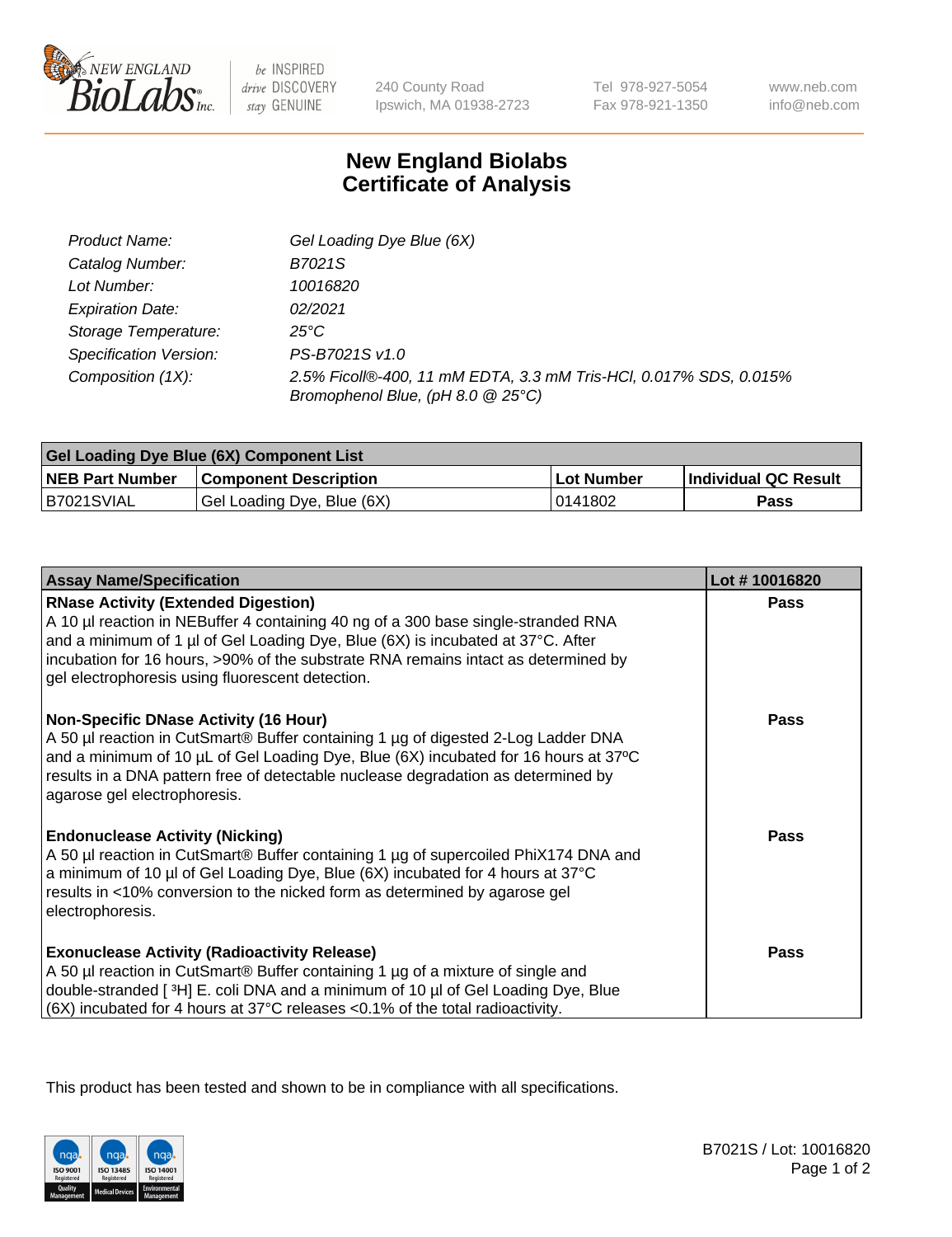

 $be$  INSPIRED drive DISCOVERY stay GENUINE

240 County Road Ipswich, MA 01938-2723 Tel 978-927-5054 Fax 978-921-1350 www.neb.com info@neb.com

## **New England Biolabs Certificate of Analysis**

| Product Name:           | Gel Loading Dye Blue (6X)                                                                              |
|-------------------------|--------------------------------------------------------------------------------------------------------|
| Catalog Number:         | B7021S                                                                                                 |
| Lot Number:             | 10016820                                                                                               |
| <b>Expiration Date:</b> | 02/2021                                                                                                |
| Storage Temperature:    | 25°C                                                                                                   |
| Specification Version:  | PS-B7021S v1.0                                                                                         |
| Composition (1X):       | 2.5% Ficoll®-400, 11 mM EDTA, 3.3 mM Tris-HCl, 0.017% SDS, 0.015%<br>Bromophenol Blue, (pH 8.0 @ 25°C) |

| Gel Loading Dye Blue (6X) Component List |                              |            |                      |  |
|------------------------------------------|------------------------------|------------|----------------------|--|
| <b>NEB Part Number</b>                   | <b>Component Description</b> | Lot Number | Individual QC Result |  |
| B7021SVIAL                               | Gel Loading Dye, Blue (6X)   | 10141802   | Pass                 |  |

| <b>Assay Name/Specification</b>                                                                                                                                                                                                                                                                                                                              | Lot #10016820 |
|--------------------------------------------------------------------------------------------------------------------------------------------------------------------------------------------------------------------------------------------------------------------------------------------------------------------------------------------------------------|---------------|
| <b>RNase Activity (Extended Digestion)</b><br>A 10 µl reaction in NEBuffer 4 containing 40 ng of a 300 base single-stranded RNA<br>and a minimum of 1 µl of Gel Loading Dye, Blue (6X) is incubated at 37°C. After<br>incubation for 16 hours, >90% of the substrate RNA remains intact as determined by<br>gel electrophoresis using fluorescent detection. | <b>Pass</b>   |
| <b>Non-Specific DNase Activity (16 Hour)</b><br>A 50 µl reaction in CutSmart® Buffer containing 1 µg of digested 2-Log Ladder DNA<br>and a minimum of 10 µL of Gel Loading Dye, Blue (6X) incubated for 16 hours at 37°C<br>results in a DNA pattern free of detectable nuclease degradation as determined by<br>agarose gel electrophoresis.                | <b>Pass</b>   |
| <b>Endonuclease Activity (Nicking)</b><br>A 50 µl reaction in CutSmart® Buffer containing 1 µg of supercoiled PhiX174 DNA and<br>a minimum of 10 µl of Gel Loading Dye, Blue (6X) incubated for 4 hours at 37°C<br>results in <10% conversion to the nicked form as determined by agarose gel<br>electrophoresis.                                            | Pass          |
| <b>Exonuclease Activity (Radioactivity Release)</b><br>A 50 µl reaction in CutSmart® Buffer containing 1 µg of a mixture of single and<br>double-stranded [3H] E. coli DNA and a minimum of 10 µl of Gel Loading Dye, Blue<br>$(6X)$ incubated for 4 hours at 37°C releases <0.1% of the total radioactivity.                                                | <b>Pass</b>   |

This product has been tested and shown to be in compliance with all specifications.